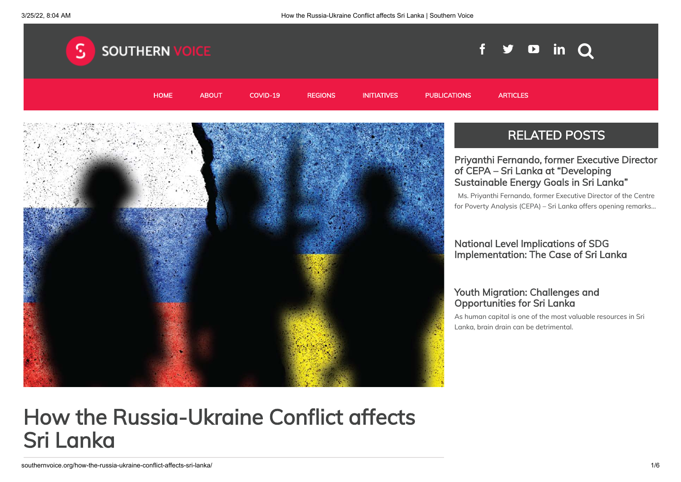

# How the Russia-Ukraine Conflict affects Sri Lanka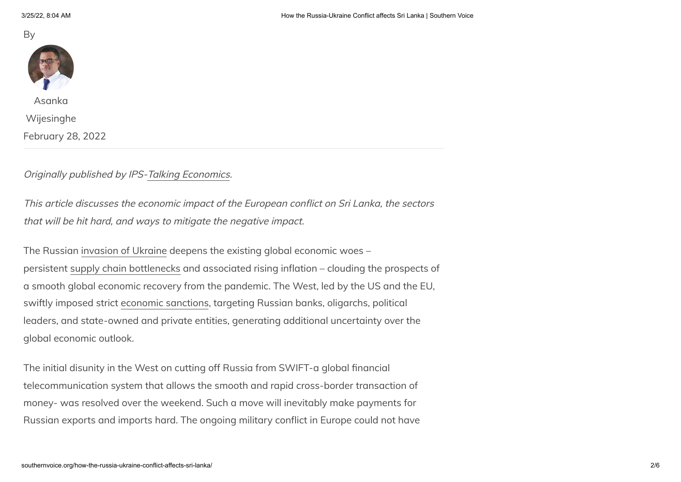



Asanka

[Wijesinghe](http://southernvoice.org/author/asanka-wijesinghe/)

February 28, 2022

#### Originally published by IPS[-Talking Economics](https://www.ips.lk/talkingeconomics/2022/02/28/russia-ukraine-conflict-economic-implications-for-sri-lanka/).

This article discusses the economic impact of the European conflict on Sri Lanka, the sectors that will be hit hard, and ways to mitigate the negative impact.

The Russian [invasion of Ukraine](https://www.vox.com/2022/2/23/22948534/russia-ukraine-war-putin-explosions-invasion-explained) deepens the existing global economic woes – persistent [supply chain bottlenecks](https://www.nytimes.com/2022/02/01/business/supply-chain-disruption.html) and associated rising inflation – clouding the prospects of a smooth global economic recovery from the pandemic. The West, led by the US and the EU, swiftly imposed strict [economic sanctions](https://home.treasury.gov/news/press-releases/jy0608), targeting Russian banks, oligarchs, political leaders, and state-owned and private entities, generating additional uncertainty over the global economic outlook.

The initial disunity in the West on cutting off Russia from SWIFT-a global financial telecommunication system that allows the smooth and rapid cross-border transaction of money- was resolved over the weekend. Such a move will inevitably make payments for Russian exports and imports hard. The ongoing military conflict in Europe could not have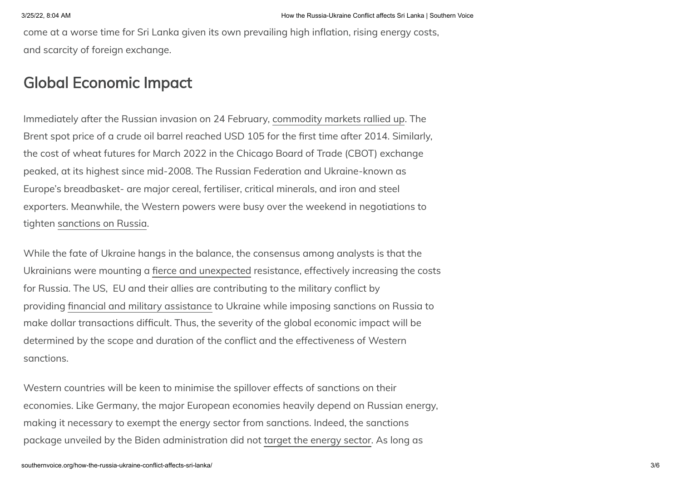come at a worse time for Sri Lanka given its own prevailing high inflation, rising energy costs, and scarcity of foreign exchange.

#### Global Economic Impact

Immediately after the Russian invasion on 24 February, [commodity markets rallied up](https://www.nasdaq.com/articles/russia-ukraine-crisis-spark-rally-in-commodity-etfs). The Brent spot price of a crude oil barrel reached USD 105 for the first time after 2014. Similarly, the cost of wheat futures for March 2022 in the Chicago Board of Trade (CBOT) exchange peaked, at its highest since mid-2008. The Russian Federation and Ukraine-known as Europe's breadbasket- are major cereal, fertiliser, critical minerals, and iron and steel exporters. Meanwhile, the Western powers were busy over the weekend in negotiations to tighten [sanctions on Russia](https://adamtooze.substack.com/p/chartbook-86-about-those-sanctions?utm_source=url).

While the fate of Ukraine hangs in the balance, the consensus among analysts is that the Ukrainians were mounting a [fierce and unexpected](https://www.theguardian.com/world/live/2022/feb/27/russia-ukraine-latest-news-missile-strikes-on-oil-facilities-reported-as-some-russian-banks-cut-off-from-swift-system-live) resistance, effectively increasing the costs for Russia. The US, EU and their allies are contributing to the military conflict by providing [financial and military assistance](https://www.reuters.com/world/biden-approves-350-million-military-aid-ukraine-2022-02-26/) to Ukraine while imposing sanctions on Russia to make dollar transactions difficult. Thus, the severity of the global economic impact will be determined by the scope and duration of the conflict and the effectiveness of Western sanctions.

Western countries will be keen to minimise the spillover effects of sanctions on their economies. Like Germany, the major European economies heavily depend on Russian energy, making it necessary to exempt the energy sector from sanctions. Indeed, the sanctions package unveiled by the Biden administration did not [target the energy sector.](https://adamtooze.substack.com/p/chartbook-86-about-those-sanctions?utm_source=url) As long as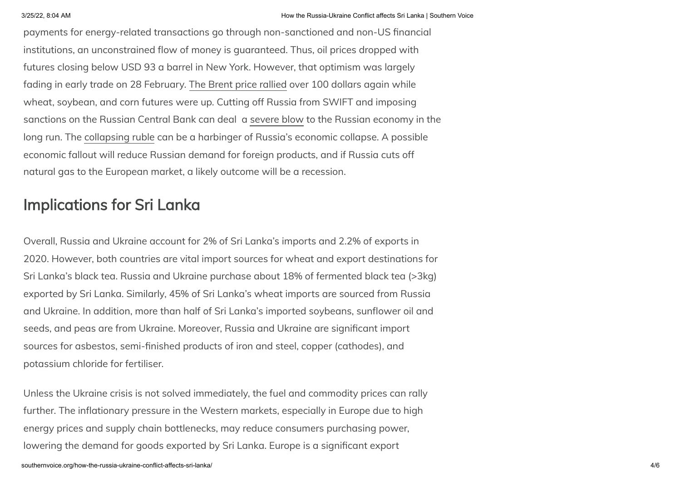payments for energy-related transactions go through non-sanctioned and non-US financial institutions, an unconstrained flow of money is guaranteed. Thus, oil prices dropped with futures closing below USD 93 a barrel in New York. However, that optimism was largely fading in early trade on 28 February. [The Brent price rallied](https://www.reuters.com/markets/europe/global-markets-wrapup-2-2022-02-28/) over 100 dollars again while wheat, soybean, and corn futures were up. Cutting off Russia from SWIFT and imposing sanctions on the Russian Central Bank can deal a [severe blow](https://theconversation.com/just-short-of-nuclear-the-latest-financial-sanctions-will-cripple-russias-economy-178000) to the Russian economy in the long run. The [collapsing ruble](https://www.aljazeera.com/news/2022/2/28/russian-rouble-plunges-to-record-lows-amid-sanctions-push) can be a harbinger of Russia's economic collapse. A possible economic fallout will reduce Russian demand for foreign products, and if Russia cuts off natural gas to the European market, a likely outcome will be a recession.

## Implications for Sri Lanka

Overall, Russia and Ukraine account for 2% of Sri Lanka's imports and 2.2% of exports in 2020. However, both countries are vital import sources for wheat and export destinations for Sri Lanka's black tea. Russia and Ukraine purchase about 18% of fermented black tea (>3kg) exported by Sri Lanka. Similarly, 45% of Sri Lanka's wheat imports are sourced from Russia and Ukraine. In addition, more than half of Sri Lanka's imported soybeans, sunflower oil and seeds, and peas are from Ukraine. Moreover, Russia and Ukraine are significant import sources for asbestos, semi-finished products of iron and steel, copper (cathodes), and potassium chloride for fertiliser.

Unless the Ukraine crisis is not solved immediately, the fuel and commodity prices can rally further. The inflationary pressure in the Western markets, especially in Europe due to high energy prices and supply chain bottlenecks, may reduce consumers purchasing power, lowering the demand for goods exported by Sri Lanka. Europe is a significant export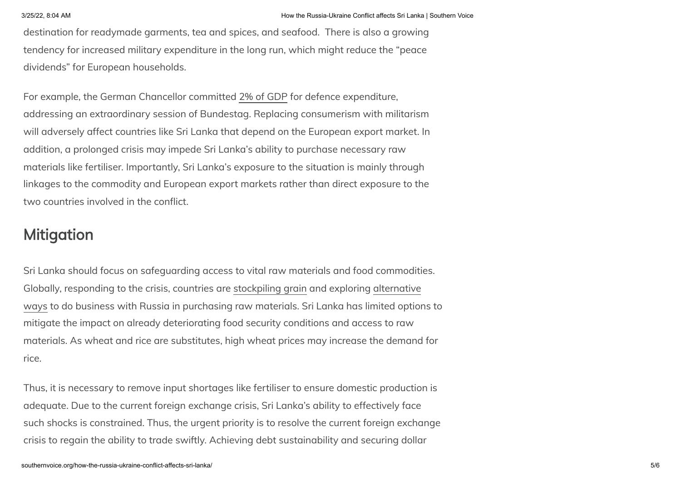destination for readymade garments, tea and spices, and seafood. There is also a growing tendency for increased military expenditure in the long run, which might reduce the "peace dividends" for European households.

For example, the German Chancellor committed [2% of GDP](https://www.reuters.com/business/aerospace-defense/germany-hike-defense-spending-scholz-says-further-policy-shift-2022-02-27/) for defence expenditure, addressing an extraordinary session of Bundestag. Replacing consumerism with militarism will adversely affect countries like Sri Lanka that depend on the European export market. In addition, a prolonged crisis may impede Sri Lanka's ability to purchase necessary raw materials like fertiliser. Importantly, Sri Lanka's exposure to the situation is mainly through linkages to the commodity and European export markets rather than direct exposure to the two countries involved in the conflict.

### Mitigation

Sri Lanka should focus on safeguarding access to vital raw materials and food commodities. Globally, responding to the crisis, countries are [stockpiling grain](https://www.arabnews.com/node/2032731/middle-east) and exploring alternative [ways to do business with Russia in purchasing raw materials. Sri Lanka has limited option](https://scroll.in/latest/1018281/india-is-considering-rupee-payment-mechanism-for-trade-with-russia-amid-sanctions-report)s to mitigate the impact on already deteriorating food security conditions and access to raw materials. As wheat and rice are substitutes, high wheat prices may increase the demand for rice.

Thus, it is necessary to remove input shortages like fertiliser to ensure domestic production is adequate. Due to the current foreign exchange crisis, Sri Lanka's ability to effectively face such shocks is constrained. Thus, the urgent priority is to resolve the current foreign exchange crisis to regain the ability to trade swiftly. Achieving debt sustainability and securing dollar